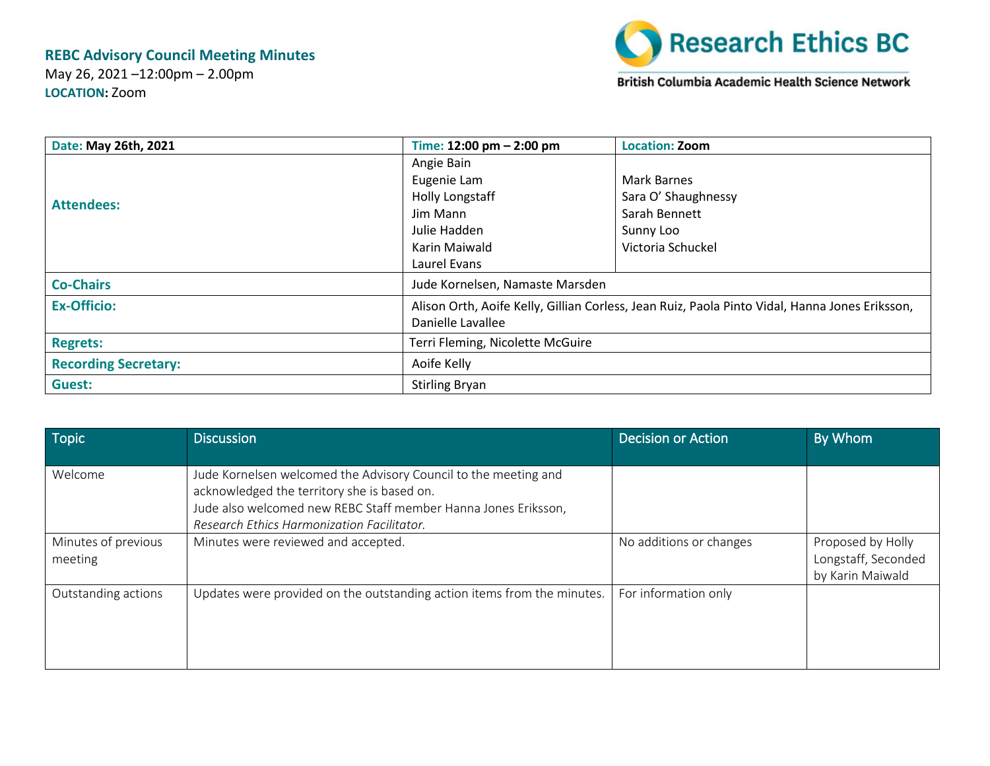## **REBC Advisory Council Meeting Minutes**

May 26, 2021 –12:00pm – 2.00pm **LOCATION:** Zoom



British Columbia Academic Health Science Network

| Date: May 26th, 2021        | Time: $12:00 \text{ pm} - 2:00 \text{ pm}$                                                     | <b>Location: Zoom</b> |  |
|-----------------------------|------------------------------------------------------------------------------------------------|-----------------------|--|
|                             | Angie Bain                                                                                     |                       |  |
|                             | Eugenie Lam                                                                                    | Mark Barnes           |  |
| <b>Attendees:</b>           | <b>Holly Longstaff</b>                                                                         | Sara O' Shaughnessy   |  |
|                             | Jim Mann                                                                                       | Sarah Bennett         |  |
|                             | Julie Hadden                                                                                   | Sunny Loo             |  |
|                             | Karin Maiwald                                                                                  | Victoria Schuckel     |  |
|                             | Laurel Evans                                                                                   |                       |  |
| <b>Co-Chairs</b>            | Jude Kornelsen, Namaste Marsden                                                                |                       |  |
| <b>Ex-Officio:</b>          | Alison Orth, Aoife Kelly, Gillian Corless, Jean Ruiz, Paola Pinto Vidal, Hanna Jones Eriksson, |                       |  |
|                             | Danielle Lavallee                                                                              |                       |  |
| <b>Regrets:</b>             | Terri Fleming, Nicolette McGuire                                                               |                       |  |
| <b>Recording Secretary:</b> | Aoife Kelly                                                                                    |                       |  |
| Guest:                      | <b>Stirling Bryan</b>                                                                          |                       |  |

| Topic                          | <b>Discussion</b>                                                                                                                                                                                                              | Decision or Action      | By Whom                                                      |
|--------------------------------|--------------------------------------------------------------------------------------------------------------------------------------------------------------------------------------------------------------------------------|-------------------------|--------------------------------------------------------------|
| Welcome                        | Jude Kornelsen welcomed the Advisory Council to the meeting and<br>acknowledged the territory she is based on.<br>Jude also welcomed new REBC Staff member Hanna Jones Eriksson,<br>Research Ethics Harmonization Facilitator. |                         |                                                              |
| Minutes of previous<br>meeting | Minutes were reviewed and accepted.                                                                                                                                                                                            | No additions or changes | Proposed by Holly<br>Longstaff, Seconded<br>by Karin Maiwald |
| Outstanding actions            | Updates were provided on the outstanding action items from the minutes.                                                                                                                                                        | For information only    |                                                              |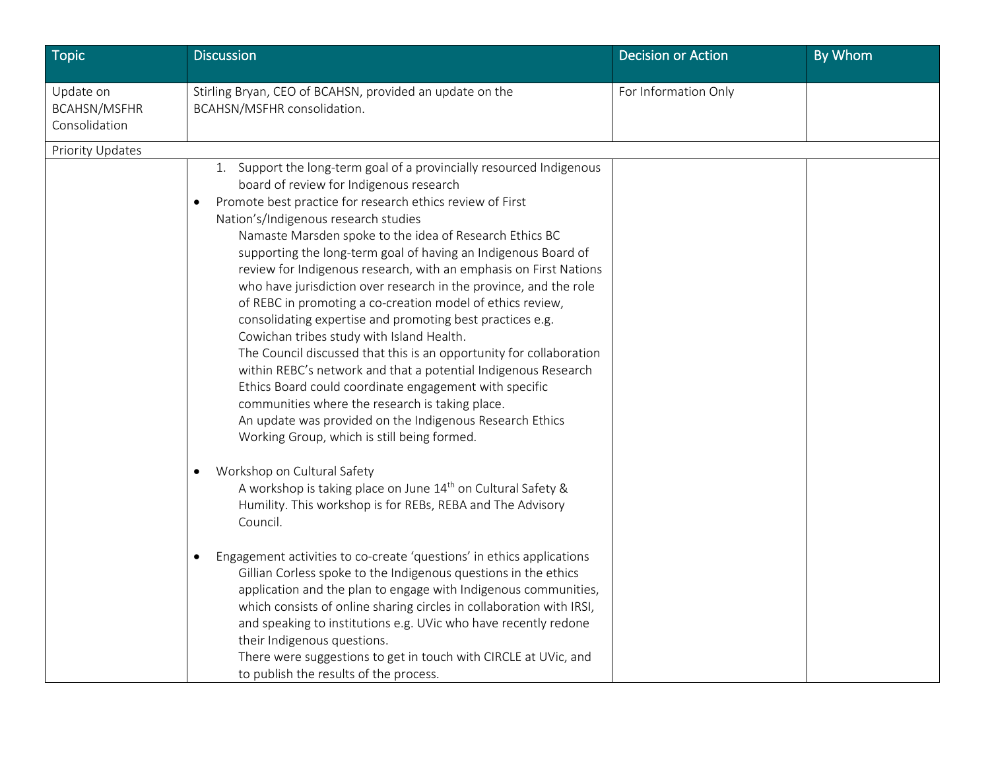| <b>Topic</b>                                      | <b>Discussion</b>                                                                                                                                                                                                                                                                                                                                                                                                                                                                                                                                                                                                                                                                                                                                                                                                                                                                                                                                                                                                                                 | <b>Decision or Action</b> | By Whom |
|---------------------------------------------------|---------------------------------------------------------------------------------------------------------------------------------------------------------------------------------------------------------------------------------------------------------------------------------------------------------------------------------------------------------------------------------------------------------------------------------------------------------------------------------------------------------------------------------------------------------------------------------------------------------------------------------------------------------------------------------------------------------------------------------------------------------------------------------------------------------------------------------------------------------------------------------------------------------------------------------------------------------------------------------------------------------------------------------------------------|---------------------------|---------|
| Update on<br><b>BCAHSN/MSFHR</b><br>Consolidation | Stirling Bryan, CEO of BCAHSN, provided an update on the<br>BCAHSN/MSFHR consolidation.                                                                                                                                                                                                                                                                                                                                                                                                                                                                                                                                                                                                                                                                                                                                                                                                                                                                                                                                                           | For Information Only      |         |
| Priority Updates                                  |                                                                                                                                                                                                                                                                                                                                                                                                                                                                                                                                                                                                                                                                                                                                                                                                                                                                                                                                                                                                                                                   |                           |         |
|                                                   | 1. Support the long-term goal of a provincially resourced Indigenous<br>board of review for Indigenous research<br>Promote best practice for research ethics review of First<br>$\bullet$<br>Nation's/Indigenous research studies<br>Namaste Marsden spoke to the idea of Research Ethics BC<br>supporting the long-term goal of having an Indigenous Board of<br>review for Indigenous research, with an emphasis on First Nations<br>who have jurisdiction over research in the province, and the role<br>of REBC in promoting a co-creation model of ethics review,<br>consolidating expertise and promoting best practices e.g.<br>Cowichan tribes study with Island Health.<br>The Council discussed that this is an opportunity for collaboration<br>within REBC's network and that a potential Indigenous Research<br>Ethics Board could coordinate engagement with specific<br>communities where the research is taking place.<br>An update was provided on the Indigenous Research Ethics<br>Working Group, which is still being formed. |                           |         |
|                                                   | Workshop on Cultural Safety<br>$\bullet$<br>A workshop is taking place on June 14 <sup>th</sup> on Cultural Safety &<br>Humility. This workshop is for REBs, REBA and The Advisory<br>Council.                                                                                                                                                                                                                                                                                                                                                                                                                                                                                                                                                                                                                                                                                                                                                                                                                                                    |                           |         |
|                                                   | Engagement activities to co-create 'questions' in ethics applications<br>$\bullet$<br>Gillian Corless spoke to the Indigenous questions in the ethics<br>application and the plan to engage with Indigenous communities,<br>which consists of online sharing circles in collaboration with IRSI,<br>and speaking to institutions e.g. UVic who have recently redone<br>their Indigenous questions.<br>There were suggestions to get in touch with CIRCLE at UVic, and<br>to publish the results of the process.                                                                                                                                                                                                                                                                                                                                                                                                                                                                                                                                   |                           |         |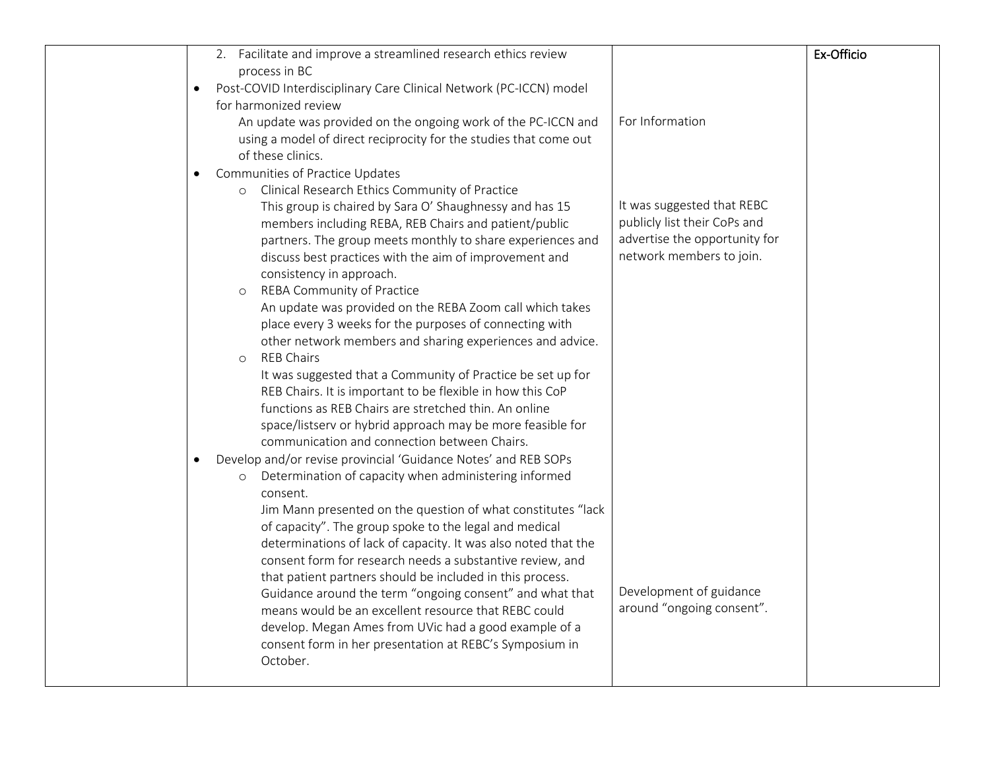|           | 2. Facilitate and improve a streamlined research ethics review                                                            |                               | Ex-Officio |
|-----------|---------------------------------------------------------------------------------------------------------------------------|-------------------------------|------------|
|           | process in BC                                                                                                             |                               |            |
| $\bullet$ | Post-COVID Interdisciplinary Care Clinical Network (PC-ICCN) model                                                        |                               |            |
|           | for harmonized review                                                                                                     |                               |            |
|           | An update was provided on the ongoing work of the PC-ICCN and                                                             | For Information               |            |
|           | using a model of direct reciprocity for the studies that come out                                                         |                               |            |
|           | of these clinics.                                                                                                         |                               |            |
| ٠         | Communities of Practice Updates                                                                                           |                               |            |
|           | Clinical Research Ethics Community of Practice<br>$\circ$                                                                 |                               |            |
|           | This group is chaired by Sara O' Shaughnessy and has 15                                                                   | It was suggested that REBC    |            |
|           | members including REBA, REB Chairs and patient/public                                                                     | publicly list their CoPs and  |            |
|           | partners. The group meets monthly to share experiences and                                                                | advertise the opportunity for |            |
|           | discuss best practices with the aim of improvement and                                                                    | network members to join.      |            |
|           | consistency in approach.                                                                                                  |                               |            |
|           | REBA Community of Practice<br>$\circ$                                                                                     |                               |            |
|           | An update was provided on the REBA Zoom call which takes                                                                  |                               |            |
|           | place every 3 weeks for the purposes of connecting with                                                                   |                               |            |
|           | other network members and sharing experiences and advice.                                                                 |                               |            |
|           | <b>REB Chairs</b><br>$\circ$                                                                                              |                               |            |
|           | It was suggested that a Community of Practice be set up for<br>REB Chairs. It is important to be flexible in how this CoP |                               |            |
|           | functions as REB Chairs are stretched thin. An online                                                                     |                               |            |
|           | space/listserv or hybrid approach may be more feasible for                                                                |                               |            |
|           | communication and connection between Chairs.                                                                              |                               |            |
| $\bullet$ | Develop and/or revise provincial 'Guidance Notes' and REB SOPs                                                            |                               |            |
|           | Determination of capacity when administering informed                                                                     |                               |            |
|           | consent.                                                                                                                  |                               |            |
|           | Jim Mann presented on the question of what constitutes "lack                                                              |                               |            |
|           | of capacity". The group spoke to the legal and medical                                                                    |                               |            |
|           | determinations of lack of capacity. It was also noted that the                                                            |                               |            |
|           | consent form for research needs a substantive review, and                                                                 |                               |            |
|           | that patient partners should be included in this process.                                                                 |                               |            |
|           | Guidance around the term "ongoing consent" and what that                                                                  | Development of guidance       |            |
|           | means would be an excellent resource that REBC could                                                                      | around "ongoing consent".     |            |
|           | develop. Megan Ames from UVic had a good example of a                                                                     |                               |            |
|           | consent form in her presentation at REBC's Symposium in                                                                   |                               |            |
|           | October.                                                                                                                  |                               |            |
|           |                                                                                                                           |                               |            |